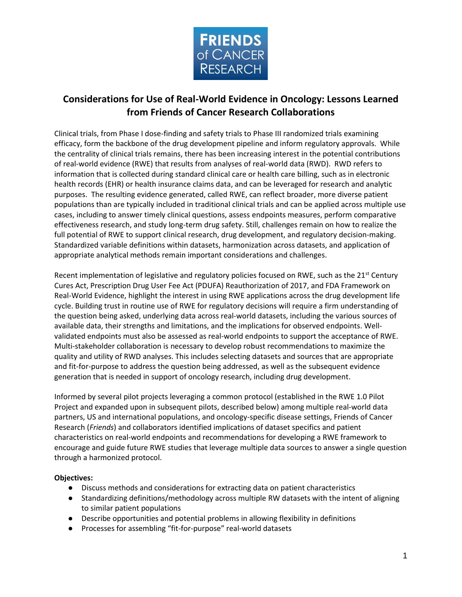

# **Considerations for Use of Real-World Evidence in Oncology: Lessons Learned from Friends of Cancer Research Collaborations**

Clinical trials, from Phase I dose-finding and safety trials to Phase III randomized trials examining efficacy, form the backbone of the drug development pipeline and inform regulatory approvals. While the centrality of clinical trials remains, there has been increasing interest in the potential contributions of real-world evidence (RWE) that results from analyses of real-world data (RWD). RWD refers to information that is collected during standard clinical care or health care billing, such as in electronic health records (EHR) or health insurance claims data, and can be leveraged for research and analytic purposes. The resulting evidence generated, called RWE, can reflect broader, more diverse patient populations than are typically included in traditional clinical trials and can be applied across multiple use cases, including to answer timely clinical questions, assess endpoints measures, perform comparative effectiveness research, and study long-term drug safety. Still, challenges remain on how to realize the full potential of RWE to support clinical research, drug development, and regulatory decision-making. Standardized variable definitions within datasets, harmonization across datasets, and application of appropriate analytical methods remain important considerations and challenges.

Recent implementation of legislative and regulatory policies focused on RWE, such as the  $21^{st}$  Century Cures Act, Prescription Drug User Fee Act (PDUFA) Reauthorization of 2017, and FDA Framework on Real-World Evidence, highlight the interest in using RWE applications across the drug development life cycle. Building trust in routine use of RWE for regulatory decisions will require a firm understanding of the question being asked, underlying data across real-world datasets, including the various sources of available data, their strengths and limitations, and the implications for observed endpoints. Wellvalidated endpoints must also be assessed as real-world endpoints to support the acceptance of RWE. Multi-stakeholder collaboration is necessary to develop robust recommendations to maximize the quality and utility of RWD analyses. This includes selecting datasets and sources that are appropriate and fit-for-purpose to address the question being addressed, as well as the subsequent evidence generation that is needed in support of oncology research, including drug development.

Informed by several pilot projects leveraging a common protocol (established in the RWE 1.0 Pilot Project and expanded upon in subsequent pilots, described below) among multiple real-world data partners, US and international populations, and oncology-specific disease settings, Friends of Cancer Research (*Friends*) and collaborators identified implications of dataset specifics and patient characteristics on real-world endpoints and recommendations for developing a RWE framework to encourage and guide future RWE studies that leverage multiple data sources to answer a single question through a harmonized protocol.

#### **Objectives:**

- Discuss methods and considerations for extracting data on patient characteristics
- Standardizing definitions/methodology across multiple RW datasets with the intent of aligning to similar patient populations
- Describe opportunities and potential problems in allowing flexibility in definitions
- Processes for assembling "fit-for-purpose" real-world datasets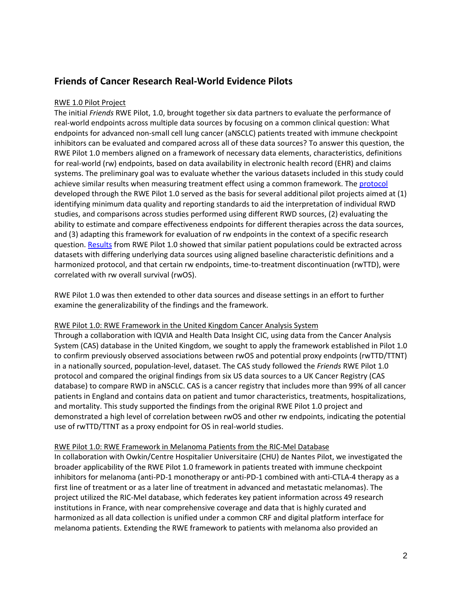## **Friends of Cancer Research Real-World Evidence Pilots**

## RWE 1.0 Pilot Project

The initial *Friends* RWE Pilot, 1.0, brought together six data partners to evaluate the performance of real-world endpoints across multiple data sources by focusing on a common clinical question: What endpoints for advanced non-small cell lung cancer (aNSCLC) patients treated with immune checkpoint inhibitors can be evaluated and compared across all of these data sources? To answer this question, the RWE Pilot 1.0 members aligned on a framework of necessary data elements, characteristics, definitions for real-world (rw) endpoints, based on data availability in electronic health record (EHR) and claims systems. The preliminary goal was to evaluate whether the various datasets included in this study could achieve similar results when measuring treatment effect using a common framework. The [protocol](https://www.focr.org/sites/default/files/pdf/RWE%20JCO%20Publication.pdf) developed through the RWE Pilot 1.0 served as the basis for several additional pilot projects aimed at (1) identifying minimum data quality and reporting standards to aid the interpretation of individual RWD studies, and comparisons across studies performed using different RWD sources, (2) evaluating the ability to estimate and compare effectiveness endpoints for different therapies across the data sources, and (3) adapting this framework for evaluation of rw endpoints in the context of a specific research question[. Results](https://www.focr.org/sites/default/files/pdf/RWE%20JCO%20Publication.pdf) from RWE Pilot 1.0 showed that similar patient populations could be extracted across datasets with differing underlying data sources using aligned baseline characteristic definitions and a harmonized protocol, and that certain rw endpoints, time-to-treatment discontinuation (rwTTD), were correlated with rw overall survival (rwOS).

RWE Pilot 1.0 was then extended to other data sources and disease settings in an effort to further examine the generalizability of the findings and the framework.

#### RWE Pilot 1.0: RWE Framework in the United Kingdom Cancer Analysis System

Through a collaboration with IQVIA and Health Data Insight CIC, using data from the Cancer Analysis System (CAS) database in the United Kingdom, we sought to apply the framework established in Pilot 1.0 to confirm previously observed associations between rwOS and potential proxy endpoints (rwTTD/TTNT) in a nationally sourced, population-level, dataset. The CAS study followed the *Friends* RWE Pilot 1.0 protocol and compared the original findings from six US data sources to a UK Cancer Registry (CAS database) to compare RWD in aNSCLC. CAS is a cancer registry that includes more than 99% of all cancer patients in England and contains data on patient and tumor characteristics, treatments, hospitalizations, and mortality. This study supported the findings from the original RWE Pilot 1.0 project and demonstrated a high level of correlation between rwOS and other rw endpoints, indicating the potential use of rwTTD/TTNT as a proxy endpoint for OS in real-world studies.

#### RWE Pilot 1.0: RWE Framework in Melanoma Patients from the RIC-Mel Database

In collaboration with Owkin/Centre Hospitalier Universitaire (CHU) de Nantes Pilot, we investigated the broader applicability of the RWE Pilot 1.0 framework in patients treated with immune checkpoint inhibitors for melanoma (anti-PD-1 monotherapy or anti-PD-1 combined with anti-CTLA-4 therapy as a first line of treatment or as a later line of treatment in advanced and metastatic melanomas). The project utilized the RIC-Mel database, which federates key patient information across 49 research institutions in France, with near comprehensive coverage and data that is highly curated and harmonized as all data collection is unified under a common CRF and digital platform interface for melanoma patients. Extending the RWE framework to patients with melanoma also provided an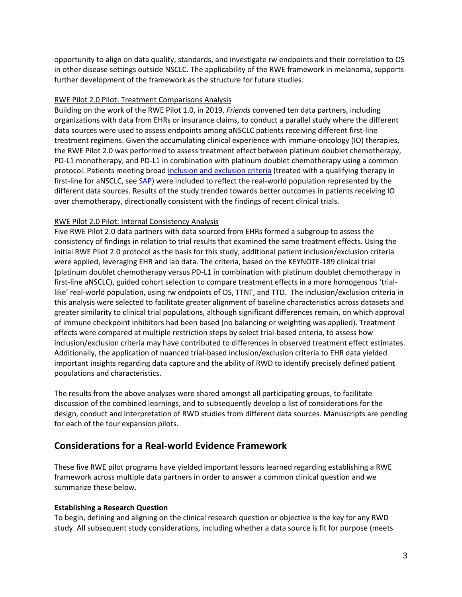opportunity to align on data quality, standards, and investigate rw endpoints and their correlation to OS in other disease settings outside NSCLC. The applicability of the RWE framework in melanoma, supports further development of the framework as the structure for future studies.

#### RWE Pilot 2.0 Pilot: Treatment Comparisons Analysis

Building on the work of the RWE Pilot 1.0, in 2019, *Friends* convened ten data partners, including organizations with data from EHRs or insurance claims, to conduct a parallel study where the different data sources were used to assess endpoints among aNSCLC patients receiving different first-line treatment regimens. Given the accumulating clinical experience with immune-oncology (IO) therapies, the RWE Pilot 2.0 was performed to assess treatment effect between platinum doublet chemotherapy, PD-L1 monotherapy, and PD-L1 in combination with platinum doublet chemotherapy using a common protocol. Patients meeting broad [inclusion and exclusion criteria](https://www.focr.org/sites/default/files/Treatment-Comparisons_SAP.pdf) (treated with a qualifying therapy in first-line for aNSCLC, see [SAP\)](https://www.focr.org/sites/default/files/Treatment-Comparison-stats-plan.pdf) were included to reflect the real-world population represented by the different data sources. Results of the study trended towards better outcomes in patients receiving IO over chemotherapy, directionally consistent with the findings of recent clinical trials.

## RWE Pilot 2.0 Pilot: Internal Consistency Analysis

Five RWE Pilot 2.0 data partners with data sourced from EHRs formed a subgroup to assess the consistency of findings in relation to trial results that examined the same treatment effects. Using the initial RWE Pilot 2.0 protocol as the basis for this study, additional patient inclusion/exclusion criteria were applied, leveraging EHR and lab data. The criteria, based on the KEYNOTE-189 clinical trial (platinum doublet chemotherapy versus PD-L1 in combination with platinum doublet chemotherapy in first-line aNSCLC), guided cohort selection to compare treatment effects in a more homogenous 'triallike' real-world population, using rw endpoints of OS, TTNT, and TTD. The inclusion/exclusion criteria in this analysis were selected to facilitate greater alignment of baseline characteristics across datasets and greater similarity to clinical trial populations, although significant differences remain, on which approval of immune checkpoint inhibitors had been based (no balancing or weighting was applied). Treatment effects were compared at multiple restriction steps by select trial-based criteria, to assess how inclusion/exclusion criteria may have contributed to differences in observed treatment effect estimates. Additionally, the application of nuanced trial-based inclusion/exclusion criteria to EHR data yielded important insights regarding data capture and the ability of RWD to identify precisely defined patient populations and characteristics.

The results from the above analyses were shared amongst all participating groups, to facilitate discussion of the combined learnings, and to subsequently develop a list of considerations for the design, conduct and interpretation of RWD studies from different data sources. Manuscripts are pending for each of the four expansion pilots.

## **Considerations for a Real-world Evidence Framework**

These five RWE pilot programs have yielded important lessons learned regarding establishing a RWE framework across multiple data partners in order to answer a common clinical question and we summarize these below.

#### **Establishing a Research Question**

To begin, defining and aligning on the clinical research question or objective is the key for any RWD study. All subsequent study considerations, including whether a data source is fit for purpose (meets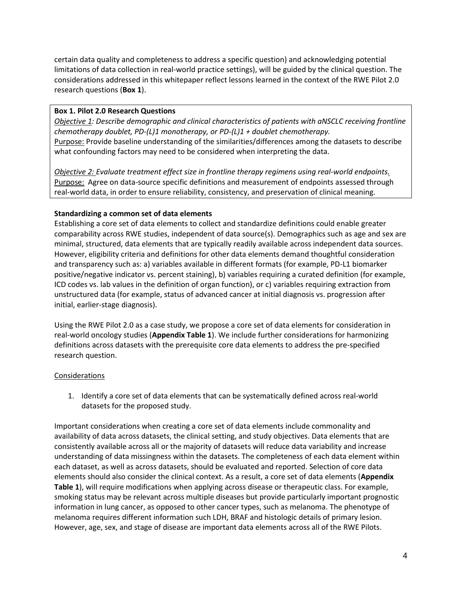certain data quality and completeness to address a specific question) and acknowledging potential limitations of data collection in real-world practice settings), will be guided by the clinical question. The considerations addressed in this whitepaper reflect lessons learned in the context of the RWE Pilot 2.0 research questions (**Box 1**).

## **Box 1. Pilot 2.0 Research Questions**

*Objective 1: Describe demographic and clinical characteristics of patients with aNSCLC receiving frontline chemotherapy doublet, PD-(L)1 monotherapy, or PD-(L)1 + doublet chemotherapy.* Purpose: Provide baseline understanding of the similarities/differences among the datasets to describe what confounding factors may need to be considered when interpreting the data.

*Objective 2: Evaluate treatment effect size in frontline therapy regimens using real-world endpoints.* Purpose:Agree on data-source specific definitions and measurement of endpoints assessed through real-world data, in order to ensure reliability, consistency, and preservation of clinical meaning.

## **Standardizing a common set of data elements**

Establishing a core set of data elements to collect and standardize definitions could enable greater comparability across RWE studies, independent of data source(s). Demographics such as age and sex are minimal, structured, data elements that are typically readily available across independent data sources. However, eligibility criteria and definitions for other data elements demand thoughtful consideration and transparency such as: a) variables available in different formats (for example, PD-L1 biomarker positive/negative indicator vs. percent staining), b) variables requiring a curated definition (for example, ICD codes vs. lab values in the definition of organ function), or c) variables requiring extraction from unstructured data (for example, status of advanced cancer at initial diagnosis vs. progression after initial, earlier-stage diagnosis).

Using the RWE Pilot 2.0 as a case study, we propose a core set of data elements for consideration in real-world oncology studies (**Appendix Table 1**). We include further considerations for harmonizing definitions across datasets with the prerequisite core data elements to address the pre-specified research question.

#### **Considerations**

1. Identify a core set of data elements that can be systematically defined across real-world datasets for the proposed study.

Important considerations when creating a core set of data elements include commonality and availability of data across datasets, the clinical setting, and study objectives. Data elements that are consistently available across all or the majority of datasets will reduce data variability and increase understanding of data missingness within the datasets. The completeness of each data element within each dataset, as well as across datasets, should be evaluated and reported. Selection of core data elements should also consider the clinical context. As a result, a core set of data elements (**Appendix Table 1**), will require modifications when applying across disease or therapeutic class. For example, smoking status may be relevant across multiple diseases but provide particularly important prognostic information in lung cancer, as opposed to other cancer types, such as melanoma. The phenotype of melanoma requires different information such LDH, BRAF and histologic details of primary lesion. However, age, sex, and stage of disease are important data elements across all of the RWE Pilots.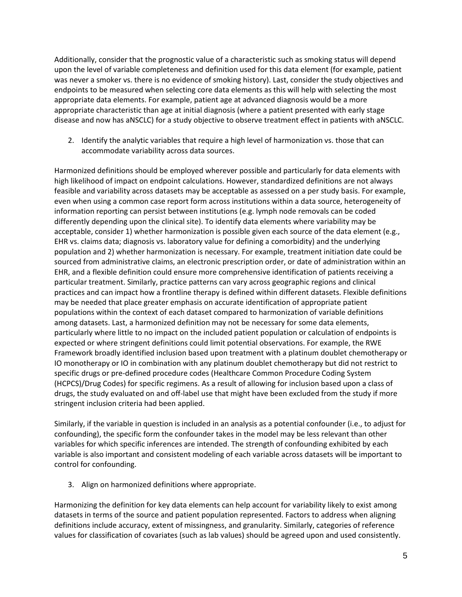Additionally, consider that the prognostic value of a characteristic such as smoking status will depend upon the level of variable completeness and definition used for this data element (for example, patient was never a smoker vs. there is no evidence of smoking history). Last, consider the study objectives and endpoints to be measured when selecting core data elements as this will help with selecting the most appropriate data elements. For example, patient age at advanced diagnosis would be a more appropriate characteristic than age at initial diagnosis (where a patient presented with early stage disease and now has aNSCLC) for a study objective to observe treatment effect in patients with aNSCLC.

2. Identify the analytic variables that require a high level of harmonization vs. those that can accommodate variability across data sources.

Harmonized definitions should be employed wherever possible and particularly for data elements with high likelihood of impact on endpoint calculations. However, standardized definitions are not always feasible and variability across datasets may be acceptable as assessed on a per study basis. For example, even when using a common case report form across institutions within a data source, heterogeneity of information reporting can persist between institutions (e.g. lymph node removals can be coded differently depending upon the clinical site). To identify data elements where variability may be acceptable, consider 1) whether harmonization is possible given each source of the data element (e.g., EHR vs. claims data; diagnosis vs. laboratory value for defining a comorbidity) and the underlying population and 2) whether harmonization is necessary. For example, treatment initiation date could be sourced from administrative claims, an electronic prescription order, or date of administration within an EHR, and a flexible definition could ensure more comprehensive identification of patients receiving a particular treatment. Similarly, practice patterns can vary across geographic regions and clinical practices and can impact how a frontline therapy is defined within different datasets. Flexible definitions may be needed that place greater emphasis on accurate identification of appropriate patient populations within the context of each dataset compared to harmonization of variable definitions among datasets. Last, a harmonized definition may not be necessary for some data elements, particularly where little to no impact on the included patient population or calculation of endpoints is expected or where stringent definitions could limit potential observations. For example, the RWE Framework broadly identified inclusion based upon treatment with a platinum doublet chemotherapy or IO monotherapy or IO in combination with any platinum doublet chemotherapy but did not restrict to specific drugs or pre-defined procedure codes (Healthcare Common Procedure Coding System (HCPCS)/Drug Codes) for specific regimens. As a result of allowing for inclusion based upon a class of drugs, the study evaluated on and off-label use that might have been excluded from the study if more stringent inclusion criteria had been applied.

Similarly, if the variable in question is included in an analysis as a potential confounder (i.e., to adjust for confounding), the specific form the confounder takes in the model may be less relevant than other variables for which specific inferences are intended. The strength of confounding exhibited by each variable is also important and consistent modeling of each variable across datasets will be important to control for confounding.

3. Align on harmonized definitions where appropriate.

Harmonizing the definition for key data elements can help account for variability likely to exist among datasets in terms of the source and patient population represented. Factors to address when aligning definitions include accuracy, extent of missingness, and granularity. Similarly, categories of reference values for classification of covariates (such as lab values) should be agreed upon and used consistently.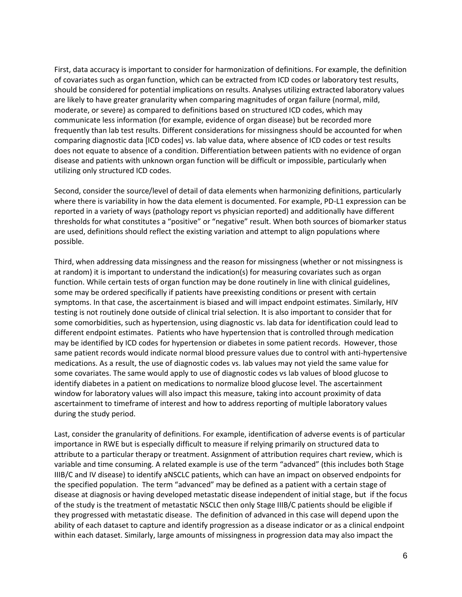First, data accuracy is important to consider for harmonization of definitions. For example, the definition of covariates such as organ function, which can be extracted from ICD codes or laboratory test results, should be considered for potential implications on results. Analyses utilizing extracted laboratory values are likely to have greater granularity when comparing magnitudes of organ failure (normal, mild, moderate, or severe) as compared to definitions based on structured ICD codes, which may communicate less information (for example, evidence of organ disease) but be recorded more frequently than lab test results. Different considerations for missingness should be accounted for when comparing diagnostic data [ICD codes] vs. lab value data, where absence of ICD codes or test results does not equate to absence of a condition. Differentiation between patients with no evidence of organ disease and patients with unknown organ function will be difficult or impossible, particularly when utilizing only structured ICD codes.

Second, consider the source/level of detail of data elements when harmonizing definitions, particularly where there is variability in how the data element is documented. For example, PD-L1 expression can be reported in a variety of ways (pathology report vs physician reported) and additionally have different thresholds for what constitutes a "positive" or "negative" result. When both sources of biomarker status are used, definitions should reflect the existing variation and attempt to align populations where possible.

Third, when addressing data missingness and the reason for missingness (whether or not missingness is at random) it is important to understand the indication(s) for measuring covariates such as organ function. While certain tests of organ function may be done routinely in line with clinical guidelines, some may be ordered specifically if patients have preexisting conditions or present with certain symptoms. In that case, the ascertainment is biased and will impact endpoint estimates. Similarly, HIV testing is not routinely done outside of clinical trial selection. It is also important to consider that for some comorbidities, such as hypertension, using diagnostic vs. lab data for identification could lead to different endpoint estimates. Patients who have hypertension that is controlled through medication may be identified by ICD codes for hypertension or diabetes in some patient records. However, those same patient records would indicate normal blood pressure values due to control with anti-hypertensive medications. As a result, the use of diagnostic codes vs. lab values may not yield the same value for some covariates. The same would apply to use of diagnostic codes vs lab values of blood glucose to identify diabetes in a patient on medications to normalize blood glucose level. The ascertainment window for laboratory values will also impact this measure, taking into account proximity of data ascertainment to timeframe of interest and how to address reporting of multiple laboratory values during the study period.

Last, consider the granularity of definitions. For example, identification of adverse events is of particular importance in RWE but is especially difficult to measure if relying primarily on structured data to attribute to a particular therapy or treatment. Assignment of attribution requires chart review, which is variable and time consuming. A related example is use of the term "advanced" (this includes both Stage IIIB/C and IV disease) to identify aNSCLC patients, which can have an impact on observed endpoints for the specified population. The term "advanced" may be defined as a patient with a certain stage of disease at diagnosis or having developed metastatic disease independent of initial stage, but if the focus of the study is the treatment of metastatic NSCLC then only Stage IIIB/C patients should be eligible if they progressed with metastatic disease. The definition of advanced in this case will depend upon the ability of each dataset to capture and identify progression as a disease indicator or as a clinical endpoint within each dataset. Similarly, large amounts of missingness in progression data may also impact the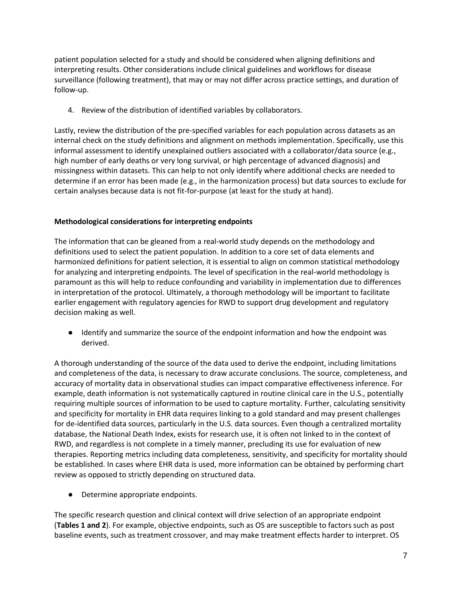patient population selected for a study and should be considered when aligning definitions and interpreting results. Other considerations include clinical guidelines and workflows for disease surveillance (following treatment), that may or may not differ across practice settings, and duration of follow-up.

4. Review of the distribution of identified variables by collaborators.

Lastly, review the distribution of the pre-specified variables for each population across datasets as an internal check on the study definitions and alignment on methods implementation. Specifically, use this informal assessment to identify unexplained outliers associated with a collaborator/data source (e.g., high number of early deaths or very long survival, or high percentage of advanced diagnosis) and missingness within datasets. This can help to not only identify where additional checks are needed to determine if an error has been made (e.g., in the harmonization process) but data sources to exclude for certain analyses because data is not fit-for-purpose (at least for the study at hand).

## **Methodological considerations for interpreting endpoints**

The information that can be gleaned from a real-world study depends on the methodology and definitions used to select the patient population. In addition to a core set of data elements and harmonized definitions for patient selection, it is essential to align on common statistical methodology for analyzing and interpreting endpoints. The level of specification in the real-world methodology is paramount as this will help to reduce confounding and variability in implementation due to differences in interpretation of the protocol. Ultimately, a thorough methodology will be important to facilitate earlier engagement with regulatory agencies for RWD to support drug development and regulatory decision making as well.

● Identify and summarize the source of the endpoint information and how the endpoint was derived.

A thorough understanding of the source of the data used to derive the endpoint, including limitations and completeness of the data, is necessary to draw accurate conclusions. The source, completeness, and accuracy of mortality data in observational studies can impact comparative effectiveness inference. For example, death information is not systematically captured in routine clinical care in the U.S., potentially requiring multiple sources of information to be used to capture mortality. Further, calculating sensitivity and specificity for mortality in EHR data requires linking to a gold standard and may present challenges for de-identified data sources, particularly in the U.S. data sources. Even though a centralized mortality database, the National Death Index, exists for research use, it is often not linked to in the context of RWD, and regardless is not complete in a timely manner, precluding its use for evaluation of new therapies. Reporting metrics including data completeness, sensitivity, and specificity for mortality should be established. In cases where EHR data is used, more information can be obtained by performing chart review as opposed to strictly depending on structured data.

● Determine appropriate endpoints.

The specific research question and clinical context will drive selection of an appropriate endpoint (**Tables 1 and 2**). For example, objective endpoints, such as OS are susceptible to factors such as post baseline events, such as treatment crossover, and may make treatment effects harder to interpret. OS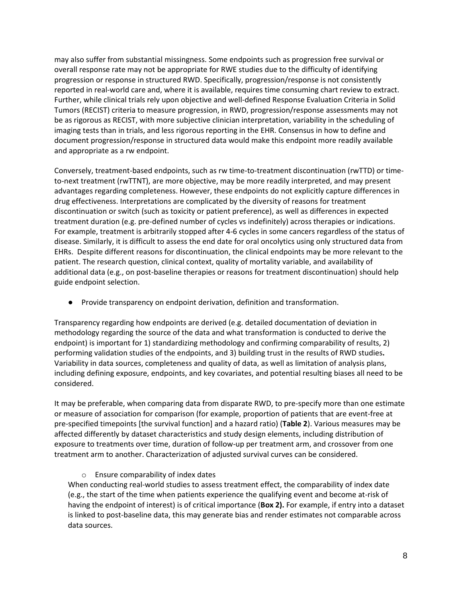may also suffer from substantial missingness. Some endpoints such as progression free survival or overall response rate may not be appropriate for RWE studies due to the difficulty of identifying progression or response in structured RWD. Specifically, progression/response is not consistently reported in real-world care and, where it is available, requires time consuming chart review to extract. Further, while clinical trials rely upon objective and well-defined Response Evaluation Criteria in Solid Tumors (RECIST) criteria to measure progression, in RWD, progression/response assessments may not be as rigorous as RECIST, with more subjective clinician interpretation, variability in the scheduling of imaging tests than in trials, and less rigorous reporting in the EHR. Consensus in how to define and document progression/response in structured data would make this endpoint more readily available and appropriate as a rw endpoint.

Conversely, treatment-based endpoints, such as rw time-to-treatment discontinuation (rwTTD) or timeto-next treatment (rwTTNT), are more objective, may be more readily interpreted, and may present advantages regarding completeness. However, these endpoints do not explicitly capture differences in drug effectiveness. Interpretations are complicated by the diversity of reasons for treatment discontinuation or switch (such as toxicity or patient preference), as well as differences in expected treatment duration (e.g. pre-defined number of cycles vs indefinitely) across therapies or indications. For example, treatment is arbitrarily stopped after 4-6 cycles in some cancers regardless of the status of disease. Similarly, it is difficult to assess the end date for oral oncolytics using only structured data from EHRs. Despite different reasons for discontinuation, the clinical endpoints may be more relevant to the patient. The research question, clinical context, quality of mortality variable, and availability of additional data (e.g., on post-baseline therapies or reasons for treatment discontinuation) should help guide endpoint selection.

● Provide transparency on endpoint derivation, definition and transformation.

Transparency regarding how endpoints are derived (e.g. detailed documentation of deviation in methodology regarding the source of the data and what transformation is conducted to derive the endpoint) is important for 1) standardizing methodology and confirming comparability of results, 2) performing validation studies of the endpoints, and 3) building trust in the results of RWD studies**.**  Variability in data sources, completeness and quality of data, as well as limitation of analysis plans, including defining exposure, endpoints, and key covariates, and potential resulting biases all need to be considered.

It may be preferable, when comparing data from disparate RWD, to pre-specify more than one estimate or measure of association for comparison (for example, proportion of patients that are event-free at pre-specified timepoints [the survival function] and a hazard ratio) (**Table 2**). Various measures may be affected differently by dataset characteristics and study design elements, including distribution of exposure to treatments over time, duration of follow-up per treatment arm, and crossover from one treatment arm to another. Characterization of adjusted survival curves can be considered.

## o Ensure comparability of index dates

When conducting real-world studies to assess treatment effect, the comparability of index date (e.g., the start of the time when patients experience the qualifying event and become at-risk of having the endpoint of interest) is of critical importance (**Box 2).** For example, if entry into a dataset is linked to post-baseline data, this may generate bias and render estimates not comparable across data sources.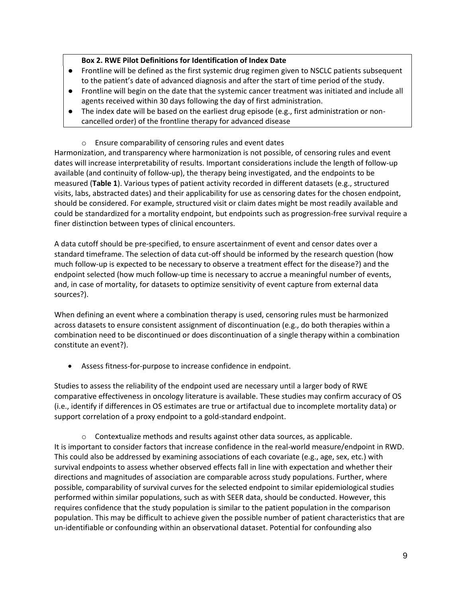## **Box 2. RWE Pilot Definitions for Identification of Index Date**

- Frontline will be defined as the first systemic drug regimen given to NSCLC patients subsequent to the patient's date of advanced diagnosis and after the start of time period of the study.
- Frontline will begin on the date that the systemic cancer treatment was initiated and include all agents received within 30 days following the day of first administration.
- The index date will be based on the earliest drug episode (e.g., first administration or noncancelled order) of the frontline therapy for advanced disease
	- o Ensure comparability of censoring rules and event dates

Harmonization, and transparency where harmonization is not possible, of censoring rules and event dates will increase interpretability of results. Important considerations include the length of follow-up available (and continuity of follow-up), the therapy being investigated, and the endpoints to be measured (**Table 1**). Various types of patient activity recorded in different datasets (e.g., structured visits, labs, abstracted dates) and their applicability for use as censoring dates for the chosen endpoint, should be considered. For example, structured visit or claim dates might be most readily available and could be standardized for a mortality endpoint, but endpoints such as progression-free survival require a finer distinction between types of clinical encounters.

A data cutoff should be pre-specified, to ensure ascertainment of event and censor dates over a standard timeframe. The selection of data cut-off should be informed by the research question (how much follow-up is expected to be necessary to observe a treatment effect for the disease?) and the endpoint selected (how much follow-up time is necessary to accrue a meaningful number of events, and, in case of mortality, for datasets to optimize sensitivity of event capture from external data sources?).

When defining an event where a combination therapy is used, censoring rules must be harmonized across datasets to ensure consistent assignment of discontinuation (e.g., do both therapies within a combination need to be discontinued or does discontinuation of a single therapy within a combination constitute an event?).

• Assess fitness-for-purpose to increase confidence in endpoint.

Studies to assess the reliability of the endpoint used are necessary until a larger body of RWE comparative effectiveness in oncology literature is available. These studies may confirm accuracy of OS (i.e., identify if differences in OS estimates are true or artifactual due to incomplete mortality data) or support correlation of a proxy endpoint to a gold-standard endpoint.

o Contextualize methods and results against other data sources, as applicable. It is important to consider factors that increase confidence in the real-world measure/endpoint in RWD. This could also be addressed by examining associations of each covariate (e.g., age, sex, etc.) with survival endpoints to assess whether observed effects fall in line with expectation and whether their directions and magnitudes of association are comparable across study populations. Further, where possible, comparability of survival curves for the selected endpoint to similar epidemiological studies performed within similar populations, such as with SEER data, should be conducted. However, this requires confidence that the study population is similar to the patient population in the comparison population. This may be difficult to achieve given the possible number of patient characteristics that are un-identifiable or confounding within an observational dataset. Potential for confounding also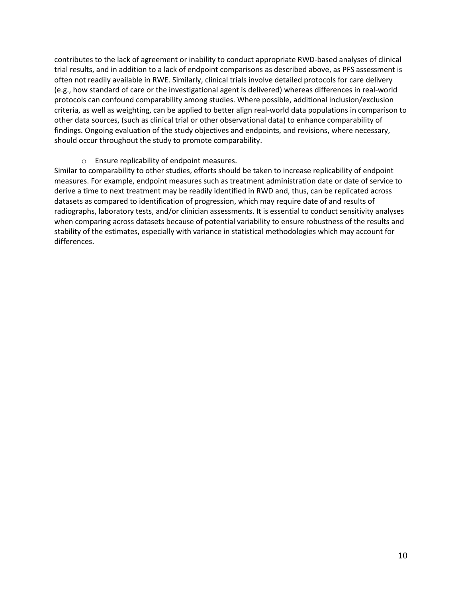contributes to the lack of agreement or inability to conduct appropriate RWD-based analyses of clinical trial results, and in addition to a lack of endpoint comparisons as described above, as PFS assessment is often not readily available in RWE. Similarly, clinical trials involve detailed protocols for care delivery (e.g., how standard of care or the investigational agent is delivered) whereas differences in real-world protocols can confound comparability among studies. Where possible, additional inclusion/exclusion criteria, as well as weighting, can be applied to better align real-world data populations in comparison to other data sources, (such as clinical trial or other observational data) to enhance comparability of findings. Ongoing evaluation of the study objectives and endpoints, and revisions, where necessary, should occur throughout the study to promote comparability.

o Ensure replicability of endpoint measures.

Similar to comparability to other studies, efforts should be taken to increase replicability of endpoint measures. For example, endpoint measures such as treatment administration date or date of service to derive a time to next treatment may be readily identified in RWD and, thus, can be replicated across datasets as compared to identification of progression, which may require date of and results of radiographs, laboratory tests, and/or clinician assessments. It is essential to conduct sensitivity analyses when comparing across datasets because of potential variability to ensure robustness of the results and stability of the estimates, especially with variance in statistical methodologies which may account for differences.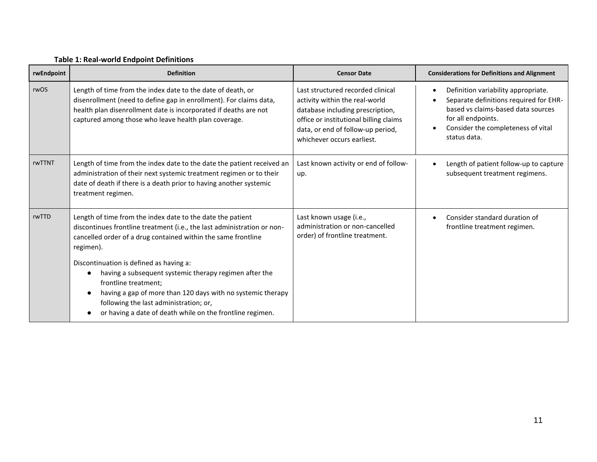| rwEndpoint | <b>Definition</b>                                                                                                                                                                                                                                                                                                                                             | <b>Censor Date</b>                                                                                                                                                                                                   | <b>Considerations for Definitions and Alignment</b>                                                                                                                                                          |
|------------|---------------------------------------------------------------------------------------------------------------------------------------------------------------------------------------------------------------------------------------------------------------------------------------------------------------------------------------------------------------|----------------------------------------------------------------------------------------------------------------------------------------------------------------------------------------------------------------------|--------------------------------------------------------------------------------------------------------------------------------------------------------------------------------------------------------------|
| rwOS       | Length of time from the index date to the date of death, or<br>disenrollment (need to define gap in enrollment). For claims data,<br>health plan disenrollment date is incorporated if deaths are not<br>captured among those who leave health plan coverage.                                                                                                 | Last structured recorded clinical<br>activity within the real-world<br>database including prescription,<br>office or institutional billing claims<br>data, or end of follow-up period,<br>whichever occurs earliest. | Definition variability appropriate.<br>$\bullet$<br>Separate definitions required for EHR-<br>based vs claims-based data sources<br>for all endpoints.<br>Consider the completeness of vital<br>status data. |
| rwTTNT     | Length of time from the index date to the date the patient received an<br>administration of their next systemic treatment regimen or to their<br>date of death if there is a death prior to having another systemic<br>treatment regimen.                                                                                                                     | Last known activity or end of follow-<br>up.                                                                                                                                                                         | Length of patient follow-up to capture<br>subsequent treatment regimens.                                                                                                                                     |
| rwTTD      | Length of time from the index date to the date the patient<br>discontinues frontline treatment (i.e., the last administration or non-<br>cancelled order of a drug contained within the same frontline<br>regimen).<br>Discontinuation is defined as having a:<br>having a subsequent systemic therapy regimen after the<br>$\bullet$<br>frontline treatment; | Last known usage (i.e.,<br>administration or non-cancelled<br>order) of frontline treatment.                                                                                                                         | Consider standard duration of<br>frontline treatment regimen.                                                                                                                                                |
|            | having a gap of more than 120 days with no systemic therapy<br>$\bullet$<br>following the last administration; or,<br>or having a date of death while on the frontline regimen.                                                                                                                                                                               |                                                                                                                                                                                                                      |                                                                                                                                                                                                              |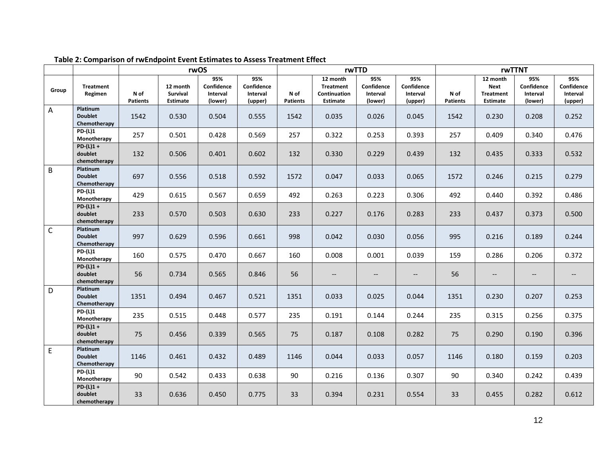|                |                                                   | rwOS                    |                                         |                                          | rwTTD                                    |                         |                                                          | rwTTNT                                   |                                          |                         |                                                                |                                                     |                                          |
|----------------|---------------------------------------------------|-------------------------|-----------------------------------------|------------------------------------------|------------------------------------------|-------------------------|----------------------------------------------------------|------------------------------------------|------------------------------------------|-------------------------|----------------------------------------------------------------|-----------------------------------------------------|------------------------------------------|
| Group          | <b>Treatment</b><br>Regimen                       | N of<br><b>Patients</b> | 12 month<br>Survival<br><b>Estimate</b> | 95%<br>Confidence<br>Interval<br>(lower) | 95%<br>Confidence<br>Interval<br>(upper) | N of<br><b>Patients</b> | 12 month<br><b>Treatment</b><br>Continuation<br>Estimate | 95%<br>Confidence<br>Interval<br>(lower) | 95%<br>Confidence<br>Interval<br>(upper) | N of<br><b>Patients</b> | 12 month<br><b>Next</b><br><b>Treatment</b><br><b>Estimate</b> | 95%<br>Confidence<br>Interval<br>(lower)            | 95%<br>Confidence<br>Interval<br>(upper) |
| $\overline{A}$ | Platinum<br><b>Doublet</b><br>Chemotherapy        | 1542                    | 0.530                                   | 0.504                                    | 0.555                                    | 1542                    | 0.035                                                    | 0.026                                    | 0.045                                    | 1542                    | 0.230                                                          | 0.208                                               | 0.252                                    |
|                | <b>PD-(L)1</b><br>Monotherapy                     | 257                     | 0.501                                   | 0.428                                    | 0.569                                    | 257                     | 0.322                                                    | 0.253                                    | 0.393                                    | 257                     | 0.409                                                          | 0.340                                               | 0.476                                    |
|                | $PD-(L)1 +$<br>doublet<br>chemotherapy            | 132                     | 0.506                                   | 0.401                                    | 0.602                                    | 132                     | 0.330                                                    | 0.229                                    | 0.439                                    | 132                     | 0.435                                                          | 0.333                                               | 0.532                                    |
| $\overline{B}$ | Platinum<br><b>Doublet</b><br>Chemotherapy        | 697                     | 0.556                                   | 0.518                                    | 0.592                                    | 1572                    | 0.047                                                    | 0.033                                    | 0.065                                    | 1572                    | 0.246                                                          | 0.215                                               | 0.279                                    |
|                | $PD-(L)1$<br>Monotherapy                          | 429                     | 0.615                                   | 0.567                                    | 0.659                                    | 492                     | 0.263                                                    | 0.223                                    | 0.306                                    | 492                     | 0.440                                                          | 0.392                                               | 0.486                                    |
|                | $PD-(L)1 +$<br>doublet<br>chemotherapy            | 233                     | 0.570                                   | 0.503                                    | 0.630                                    | 233                     | 0.227                                                    | 0.176                                    | 0.283                                    | 233                     | 0.437                                                          | 0.373                                               | 0.500                                    |
| $\mathsf{C}$   | Platinum<br><b>Doublet</b><br>Chemotherapy        | 997                     | 0.629                                   | 0.596                                    | 0.661                                    | 998                     | 0.042                                                    | 0.030                                    | 0.056                                    | 995                     | 0.216                                                          | 0.189                                               | 0.244                                    |
|                | <b>PD-(L)1</b><br>Monotherapy                     | 160                     | 0.575                                   | 0.470                                    | 0.667                                    | 160                     | 0.008                                                    | 0.001                                    | 0.039                                    | 159                     | 0.286                                                          | 0.206                                               | 0.372                                    |
|                | $PD-(L)1 +$<br>doublet<br>chemotherapy            | 56                      | 0.734                                   | 0.565                                    | 0.846                                    | 56                      | $\overline{\phantom{a}}$                                 | $- -$                                    | $\overline{\phantom{a}}$                 | 56                      | $\overline{\phantom{a}}$                                       | $\hspace{0.05cm} -\hspace{0.05cm} -\hspace{0.05cm}$ |                                          |
| D              | Platinum<br><b>Doublet</b><br>Chemotherapy        | 1351                    | 0.494                                   | 0.467                                    | 0.521                                    | 1351                    | 0.033                                                    | 0.025                                    | 0.044                                    | 1351                    | 0.230                                                          | 0.207                                               | 0.253                                    |
|                | PD-(L)1<br>Monotherapy                            | 235                     | 0.515                                   | 0.448                                    | 0.577                                    | 235                     | 0.191                                                    | 0.144                                    | 0.244                                    | 235                     | 0.315                                                          | 0.256                                               | 0.375                                    |
|                | $PD-(L)1 +$<br>doublet<br>chemotherapy            | 75                      | 0.456                                   | 0.339                                    | 0.565                                    | 75                      | 0.187                                                    | 0.108                                    | 0.282                                    | 75                      | 0.290                                                          | 0.190                                               | 0.396                                    |
| E              | <b>Platinum</b><br><b>Doublet</b><br>Chemotherapy | 1146                    | 0.461                                   | 0.432                                    | 0.489                                    | 1146                    | 0.044                                                    | 0.033                                    | 0.057                                    | 1146                    | 0.180                                                          | 0.159                                               | 0.203                                    |
|                | $PD-(L)1$<br>Monotherapy                          | 90                      | 0.542                                   | 0.433                                    | 0.638                                    | 90                      | 0.216                                                    | 0.136                                    | 0.307                                    | 90                      | 0.340                                                          | 0.242                                               | 0.439                                    |
|                | $PD (L)1 +$<br>doublet<br>chemotherapy            | 33                      | 0.636                                   | 0.450                                    | 0.775                                    | 33                      | 0.394                                                    | 0.231                                    | 0.554                                    | 33                      | 0.455                                                          | 0.282                                               | 0.612                                    |

## **Table 2: Comparison of rwEndpoint Event Estimates to Assess Treatment Effect**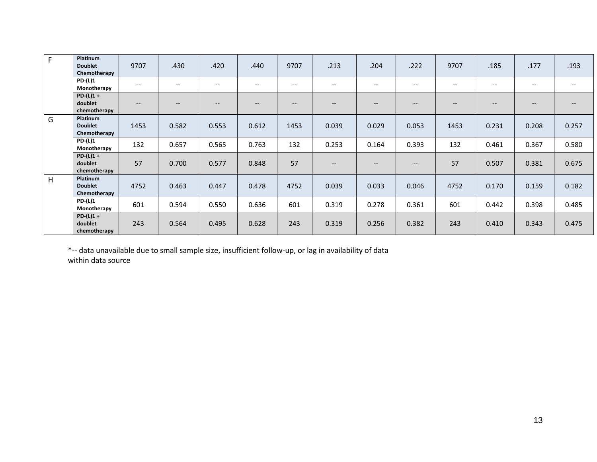| F | Platinum<br><b>Doublet</b><br>Chemotherapy | 9707                     | .430              | .420  | .440                                  | 9707                     | .213                     | .204                                                | .222                     | 9707                                  | .185                     | .177  | .193                     |
|---|--------------------------------------------|--------------------------|-------------------|-------|---------------------------------------|--------------------------|--------------------------|-----------------------------------------------------|--------------------------|---------------------------------------|--------------------------|-------|--------------------------|
|   | $PD-(L)1$<br>Monotherapy                   | $\overline{\phantom{a}}$ | $\qquad \qquad -$ | $-$   | $\hspace{0.05cm}$ – $\hspace{0.05cm}$ | $- -$                    | $-$                      | $\qquad \qquad -$                                   | $\overline{\phantom{a}}$ | --                                    | $--$                     | $- -$ | $- -$                    |
|   | $PD-(L)1 +$<br>doublet<br>chemotherapy     | $\hspace{0.05cm} \ldots$ | $- -$             | $-$   | $\qquad \qquad -$                     | $\overline{\phantom{m}}$ | $\hspace{0.05cm} \ldots$ | $\hspace{0.05cm} -\hspace{0.05cm} -\hspace{0.05cm}$ | $\hspace{0.05cm} \ldots$ | $\hspace{0.05cm}$ – $\hspace{0.05cm}$ | $\hspace{0.05cm} \ldots$ | $- -$ | $\hspace{0.05cm} \ldots$ |
| G | Platinum<br><b>Doublet</b><br>Chemotherapy | 1453                     | 0.582             | 0.553 | 0.612                                 | 1453                     | 0.039                    | 0.029                                               | 0.053                    | 1453                                  | 0.231                    | 0.208 | 0.257                    |
|   | $PD-(L)1$<br>Monotherapy                   | 132                      | 0.657             | 0.565 | 0.763                                 | 132                      | 0.253                    | 0.164                                               | 0.393                    | 132                                   | 0.461                    | 0.367 | 0.580                    |
|   | $PD-(L)1 +$<br>doublet<br>chemotherapy     | 57                       | 0.700             | 0.577 | 0.848                                 | 57                       | $\overline{\phantom{a}}$ | $\hspace{0.05cm}$ – $\hspace{0.05cm}$               | $\hspace{0.05cm} \ldots$ | 57                                    | 0.507                    | 0.381 | 0.675                    |
| H | Platinum<br><b>Doublet</b><br>Chemotherapy | 4752                     | 0.463             | 0.447 | 0.478                                 | 4752                     | 0.039                    | 0.033                                               | 0.046                    | 4752                                  | 0.170                    | 0.159 | 0.182                    |
|   | <b>PD-(L)1</b><br>Monotherapy              | 601                      | 0.594             | 0.550 | 0.636                                 | 601                      | 0.319                    | 0.278                                               | 0.361                    | 601                                   | 0.442                    | 0.398 | 0.485                    |
|   | $PD-(L)1 +$<br>doublet<br>chemotherapy     | 243                      | 0.564             | 0.495 | 0.628                                 | 243                      | 0.319                    | 0.256                                               | 0.382                    | 243                                   | 0.410                    | 0.343 | 0.475                    |

\*-- data unavailable due to small sample size, insufficient follow-up, or lag in availability of data

within data source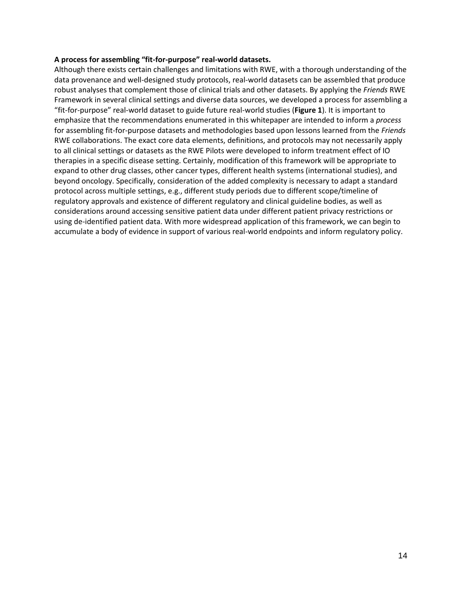#### **A process for assembling "fit-for-purpose" real-world datasets.**

Although there exists certain challenges and limitations with RWE, with a thorough understanding of the data provenance and well-designed study protocols, real-world datasets can be assembled that produce robust analyses that complement those of clinical trials and other datasets. By applying the *Friends* RWE Framework in several clinical settings and diverse data sources, we developed a process for assembling a "fit-for-purpose" real-world dataset to guide future real-world studies (**Figure 1**). It is important to emphasize that the recommendations enumerated in this whitepaper are intended to inform a *process* for assembling fit-for-purpose datasets and methodologies based upon lessons learned from the *Friends*  RWE collaborations. The exact core data elements, definitions, and protocols may not necessarily apply to all clinical settings or datasets as the RWE Pilots were developed to inform treatment effect of IO therapies in a specific disease setting. Certainly, modification of this framework will be appropriate to expand to other drug classes, other cancer types, different health systems (international studies), and beyond oncology. Specifically, consideration of the added complexity is necessary to adapt a standard protocol across multiple settings, e.g., different study periods due to different scope/timeline of regulatory approvals and existence of different regulatory and clinical guideline bodies, as well as considerations around accessing sensitive patient data under different patient privacy restrictions or using de-identified patient data. With more widespread application of this framework, we can begin to accumulate a body of evidence in support of various real-world endpoints and inform regulatory policy.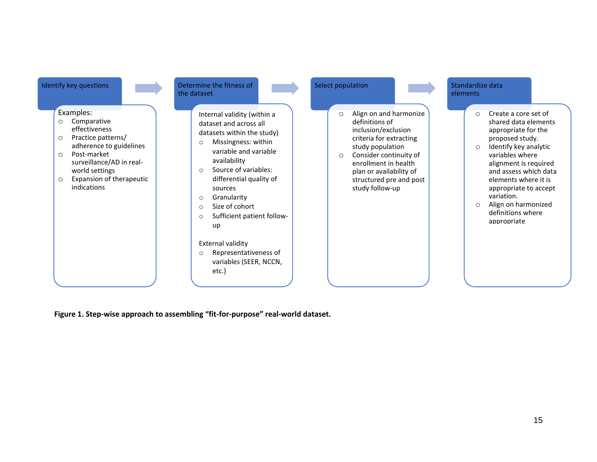

**Figure 1. Step-wise approach to assembling "fit-for-purpose" real-world dataset.**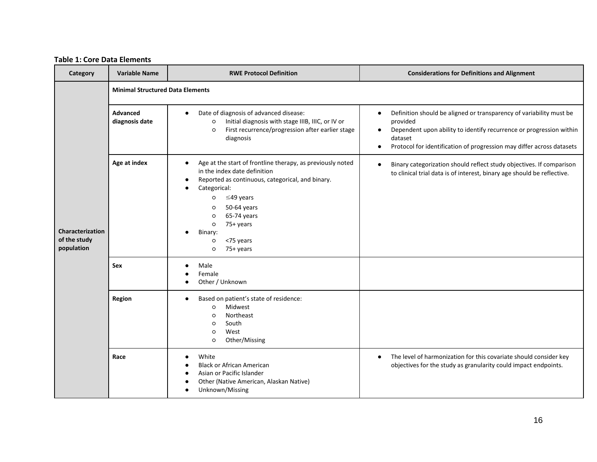## **Table 1: Core Data Elements**

| Category                                       | <b>Variable Name</b>                    | <b>RWE Protocol Definition</b>                                                                                                                                                                                                                                                                                           | <b>Considerations for Definitions and Alignment</b>                                                                                                                                                                                                                               |  |  |  |  |  |  |  |
|------------------------------------------------|-----------------------------------------|--------------------------------------------------------------------------------------------------------------------------------------------------------------------------------------------------------------------------------------------------------------------------------------------------------------------------|-----------------------------------------------------------------------------------------------------------------------------------------------------------------------------------------------------------------------------------------------------------------------------------|--|--|--|--|--|--|--|
|                                                | <b>Minimal Structured Data Elements</b> |                                                                                                                                                                                                                                                                                                                          |                                                                                                                                                                                                                                                                                   |  |  |  |  |  |  |  |
| Characterization<br>of the study<br>population | Advanced<br>diagnosis date              | Date of diagnosis of advanced disease:<br>$\bullet$<br>Initial diagnosis with stage IIIB, IIIC, or IV or<br>$\circ$<br>First recurrence/progression after earlier stage<br>$\circ$<br>diagnosis                                                                                                                          | Definition should be aligned or transparency of variability must be<br>$\bullet$<br>provided<br>Dependent upon ability to identify recurrence or progression within<br>$\bullet$<br>dataset<br>Protocol for identification of progression may differ across datasets<br>$\bullet$ |  |  |  |  |  |  |  |
|                                                | Age at index                            | Age at the start of frontline therapy, as previously noted<br>$\bullet$<br>in the index date definition<br>Reported as continuous, categorical, and binary.<br>Categorical:<br>$\leq$ 49 years<br>$\circ$<br>50-64 years<br>$\circ$<br>65-74 years<br>$\circ$<br>75+ years<br>$\circ$<br>Binary:<br><75 years<br>$\circ$ | Binary categorization should reflect study objectives. If comparison<br>to clinical trial data is of interest, binary age should be reflective.                                                                                                                                   |  |  |  |  |  |  |  |
|                                                | Sex                                     | 75+ years<br>$\circ$<br>Male<br>Female<br>Other / Unknown                                                                                                                                                                                                                                                                |                                                                                                                                                                                                                                                                                   |  |  |  |  |  |  |  |
|                                                | Region                                  | Based on patient's state of residence:<br>Midwest<br>$\circ$<br>Northeast<br>$\circ$<br>South<br>$\circ$<br>West<br>$\circ$<br>Other/Missing<br>$\circ$                                                                                                                                                                  |                                                                                                                                                                                                                                                                                   |  |  |  |  |  |  |  |
|                                                | Race                                    | White<br><b>Black or African American</b><br>Asian or Pacific Islander<br>Other (Native American, Alaskan Native)<br>Unknown/Missing                                                                                                                                                                                     | The level of harmonization for this covariate should consider key<br>$\bullet$<br>objectives for the study as granularity could impact endpoints.                                                                                                                                 |  |  |  |  |  |  |  |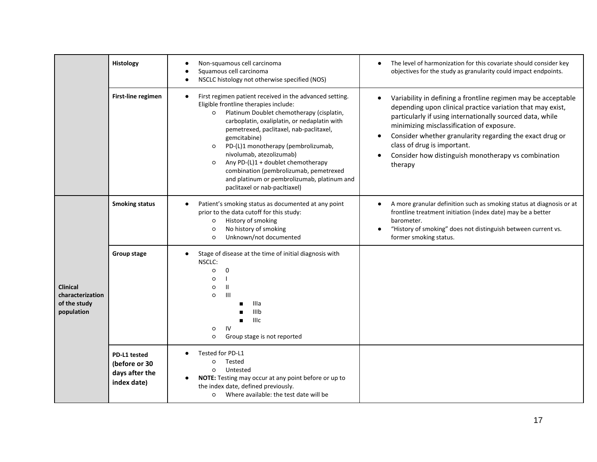|                                                                   | Histology                                                      | Non-squamous cell carcinoma<br>Squamous cell carcinoma<br>NSCLC histology not otherwise specified (NOS)                                                                                                                                                                                                                                                                                                                                                                                                             | The level of harmonization for this covariate should consider key<br>objectives for the study as granularity could impact endpoints.                                                                                                                                                                                                                                                               |
|-------------------------------------------------------------------|----------------------------------------------------------------|---------------------------------------------------------------------------------------------------------------------------------------------------------------------------------------------------------------------------------------------------------------------------------------------------------------------------------------------------------------------------------------------------------------------------------------------------------------------------------------------------------------------|----------------------------------------------------------------------------------------------------------------------------------------------------------------------------------------------------------------------------------------------------------------------------------------------------------------------------------------------------------------------------------------------------|
|                                                                   | First-line regimen                                             | First regimen patient received in the advanced setting.<br>$\bullet$<br>Eligible frontline therapies include:<br>Platinum Doublet chemotherapy (cisplatin,<br>carboplatin, oxaliplatin, or nedaplatin with<br>pemetrexed, paclitaxel, nab-paclitaxel,<br>gemcitabine)<br>PD-(L)1 monotherapy (pembrolizumab,<br>$\circ$<br>nivolumab, atezolizumab)<br>Any PD-(L)1 + doublet chemotherapy<br>combination (pembrolizumab, pemetrexed<br>and platinum or pembrolizumab, platinum and<br>paclitaxel or nab-pacltiaxel) | Variability in defining a frontline regimen may be acceptable<br>depending upon clinical practice variation that may exist,<br>particularly if using internationally sourced data, while<br>minimizing misclassification of exposure.<br>Consider whether granularity regarding the exact drug or<br>class of drug is important.<br>Consider how distinguish monotherapy vs combination<br>therapy |
|                                                                   | <b>Smoking status</b>                                          | Patient's smoking status as documented at any point<br>prior to the data cutoff for this study:<br>History of smoking<br>$\circ$<br>No history of smoking<br>$\circ$<br>Unknown/not documented<br>$\circ$                                                                                                                                                                                                                                                                                                           | A more granular definition such as smoking status at diagnosis or at<br>frontline treatment initiation (index date) may be a better<br>barometer.<br>"History of smoking" does not distinguish between current vs.<br>former smoking status.                                                                                                                                                       |
| <b>Clinical</b><br>characterization<br>of the study<br>population | Group stage                                                    | Stage of disease at the time of initial diagnosis with<br>$\bullet$<br>NSCLC:<br>$\mathbf 0$<br>$\circ$<br>$\circ$<br>$\mathbf{H}$<br>O<br>$\mathbf{III}$<br>$\circ$<br>Illa<br>IIIb<br><b>IIIc</b><br>IV<br>$\circ$<br>Group stage is not reported<br>$\circ$                                                                                                                                                                                                                                                      |                                                                                                                                                                                                                                                                                                                                                                                                    |
|                                                                   | PD-L1 tested<br>(before or 30<br>days after the<br>index date) | Tested for PD-L1<br>Tested<br>$\circ$<br>Untested<br>$\circ$<br>NOTE: Testing may occur at any point before or up to<br>$\bullet$<br>the index date, defined previously.<br>Where available: the test date will be<br>$\circ$                                                                                                                                                                                                                                                                                       |                                                                                                                                                                                                                                                                                                                                                                                                    |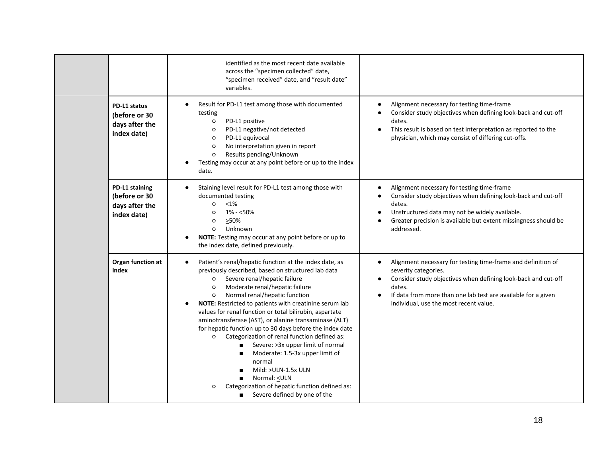|  |                                                                  | identified as the most recent date available<br>across the "specimen collected" date,<br>"specimen received" date, and "result date"<br>variables.                                                                                                                                                                                                                                                                                                                                                                                                                                                                                                                                                                                                                                                    |                                                                                                                                                                                                                                                                                         |
|--|------------------------------------------------------------------|-------------------------------------------------------------------------------------------------------------------------------------------------------------------------------------------------------------------------------------------------------------------------------------------------------------------------------------------------------------------------------------------------------------------------------------------------------------------------------------------------------------------------------------------------------------------------------------------------------------------------------------------------------------------------------------------------------------------------------------------------------------------------------------------------------|-----------------------------------------------------------------------------------------------------------------------------------------------------------------------------------------------------------------------------------------------------------------------------------------|
|  | PD-L1 status<br>(before or 30<br>days after the<br>index date)   | Result for PD-L1 test among those with documented<br>testing<br>PD-L1 positive<br>$\circ$<br>PD-L1 negative/not detected<br>$\circ$<br>PD-L1 equivocal<br>O<br>No interpretation given in report<br>$\circ$<br>Results pending/Unknown<br>$\circ$<br>Testing may occur at any point before or up to the index<br>date.                                                                                                                                                                                                                                                                                                                                                                                                                                                                                | Alignment necessary for testing time-frame<br>Consider study objectives when defining look-back and cut-off<br>dates.<br>This result is based on test interpretation as reported to the<br>$\bullet$<br>physician, which may consist of differing cut-offs.                             |
|  | PD-L1 staining<br>(before or 30<br>days after the<br>index date) | Staining level result for PD-L1 test among those with<br>documented testing<br>$< 1\%$<br>$\circ$<br>$1\% - 50\%$<br>$\circ$<br>≥50%<br>$\circ$<br>Unknown<br>$\circ$<br>NOTE: Testing may occur at any point before or up to<br>the index date, defined previously.                                                                                                                                                                                                                                                                                                                                                                                                                                                                                                                                  | Alignment necessary for testing time-frame<br>Consider study objectives when defining look-back and cut-off<br>dates.<br>Unstructured data may not be widely available.<br>Greater precision is available but extent missingness should be<br>addressed.                                |
|  | Organ function at<br>index                                       | Patient's renal/hepatic function at the index date, as<br>$\bullet$<br>previously described, based on structured lab data<br>Severe renal/hepatic failure<br>$\circ$<br>Moderate renal/hepatic failure<br>$\circ$<br>Normal renal/hepatic function<br>$\circ$<br>NOTE: Restricted to patients with creatinine serum lab<br>$\bullet$<br>values for renal function or total bilirubin, aspartate<br>aminotransferase (AST), or alanine transaminase (ALT)<br>for hepatic function up to 30 days before the index date<br>o Categorization of renal function defined as:<br>Severe: > 3x upper limit of normal<br>$\blacksquare$<br>Moderate: 1.5-3x upper limit of<br>normal<br>Mild: >ULN-1.5x ULN<br>Normal: < ULN<br>Categorization of hepatic function defined as:<br>Severe defined by one of the | Alignment necessary for testing time-frame and definition of<br>$\bullet$<br>severity categories.<br>Consider study objectives when defining look-back and cut-off<br>dates.<br>If data from more than one lab test are available for a given<br>individual, use the most recent value. |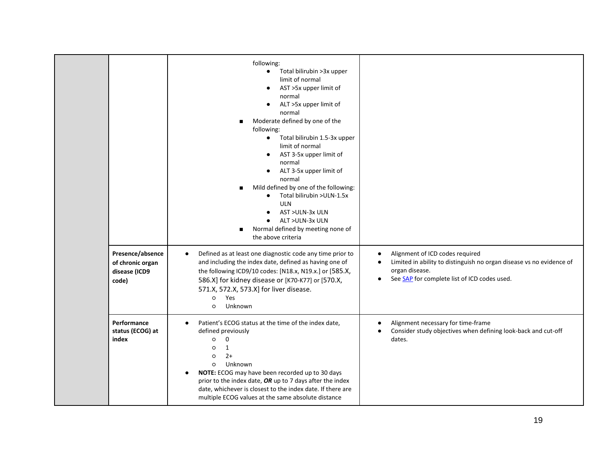|                                                                | following:<br>Total bilirubin > 3x upper<br>$\bullet$<br>limit of normal<br>AST >5x upper limit of<br>$\bullet$<br>normal<br>ALT >5x upper limit of<br>normal<br>Moderate defined by one of the<br>following:<br>Total bilirubin 1.5-3x upper<br>$\bullet$<br>limit of normal<br>AST 3-5x upper limit of<br>$\bullet$<br>normal<br>ALT 3-5x upper limit of<br>normal<br>Mild defined by one of the following:<br>Total bilirubin >ULN-1.5x<br>$\bullet$<br><b>ULN</b><br>AST >ULN-3x ULN<br>ALT >ULN-3x ULN<br>$\bullet$<br>Normal defined by meeting none of |                                                                                                                                                                                                     |
|----------------------------------------------------------------|---------------------------------------------------------------------------------------------------------------------------------------------------------------------------------------------------------------------------------------------------------------------------------------------------------------------------------------------------------------------------------------------------------------------------------------------------------------------------------------------------------------------------------------------------------------|-----------------------------------------------------------------------------------------------------------------------------------------------------------------------------------------------------|
| Presence/absence<br>of chronic organ<br>disease (ICD9<br>code) | the above criteria<br>Defined as at least one diagnostic code any time prior to<br>$\bullet$<br>and including the index date, defined as having one of<br>the following ICD9/10 codes: [N18.x, N19.x.] or [585.X,<br>586.X] for kidney disease or [K70-K77] or [570.X,<br>571.X, 572.X, 573.X] for liver disease.<br>Yes<br>$\circ$<br>Unknown<br>$\circ$                                                                                                                                                                                                     | Alignment of ICD codes required<br>$\bullet$<br>Limited in ability to distinguish no organ disease vs no evidence of<br>organ disease.<br>See SAP for complete list of ICD codes used.<br>$\bullet$ |
| Performance<br>status (ECOG) at<br>index                       | Patient's ECOG status at the time of the index date,<br>$\bullet$<br>defined previously<br>$\mathbf 0$<br>$\circ$<br>1<br>$\circ$<br>$2+$<br>$\circ$<br>Unknown<br>$\circ$<br>NOTE: ECOG may have been recorded up to 30 days<br>$\bullet$<br>prior to the index date, OR up to 7 days after the index<br>date, whichever is closest to the index date. If there are<br>multiple ECOG values at the same absolute distance                                                                                                                                    | Alignment necessary for time-frame<br>Consider study objectives when defining look-back and cut-off<br>dates.                                                                                       |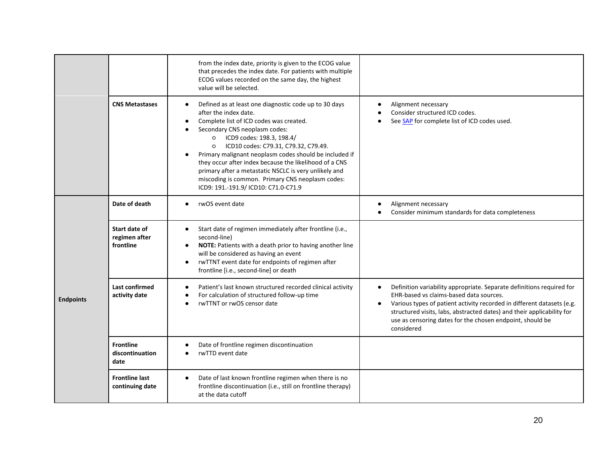|                  |                                             | from the index date, priority is given to the ECOG value<br>that precedes the index date. For patients with multiple<br>ECOG values recorded on the same day, the highest<br>value will be selected.                                                                                                                                                                                                                                                                                                                                        |                                                                                                                                                                                                                                                                                                                                                                   |
|------------------|---------------------------------------------|---------------------------------------------------------------------------------------------------------------------------------------------------------------------------------------------------------------------------------------------------------------------------------------------------------------------------------------------------------------------------------------------------------------------------------------------------------------------------------------------------------------------------------------------|-------------------------------------------------------------------------------------------------------------------------------------------------------------------------------------------------------------------------------------------------------------------------------------------------------------------------------------------------------------------|
|                  | <b>CNS Metastases</b>                       | Defined as at least one diagnostic code up to 30 days<br>$\bullet$<br>after the index date.<br>Complete list of ICD codes was created.<br>Secondary CNS neoplasm codes:<br>ICD9 codes: 198.3, 198.4/<br>$\circ$<br>ICD10 codes: C79.31, C79.32, C79.49.<br>$\circ$<br>Primary malignant neoplasm codes should be included if<br>they occur after index because the likelihood of a CNS<br>primary after a metastatic NSCLC is very unlikely and<br>miscoding is common. Primary CNS neoplasm codes:<br>ICD9: 191.-191.9/ ICD10: C71.0-C71.9 | Alignment necessary<br>Consider structured ICD codes.<br>See SAP for complete list of ICD codes used.                                                                                                                                                                                                                                                             |
| <b>Endpoints</b> | Date of death                               | rwOS event date<br>$\bullet$                                                                                                                                                                                                                                                                                                                                                                                                                                                                                                                | Alignment necessary<br>Consider minimum standards for data completeness                                                                                                                                                                                                                                                                                           |
|                  | Start date of<br>regimen after<br>frontline | Start date of regimen immediately after frontline (i.e.,<br>$\bullet$<br>second-line)<br>NOTE: Patients with a death prior to having another line<br>$\bullet$<br>will be considered as having an event<br>rwTTNT event date for endpoints of regimen after<br>$\bullet$<br>frontline [i.e., second-line] or death                                                                                                                                                                                                                          |                                                                                                                                                                                                                                                                                                                                                                   |
|                  | Last confirmed<br>activity date             | Patient's last known structured recorded clinical activity<br>For calculation of structured follow-up time<br>$\bullet$<br>rwTTNT or rwOS censor date<br>$\bullet$                                                                                                                                                                                                                                                                                                                                                                          | Definition variability appropriate. Separate definitions required for<br>٠<br>EHR-based vs claims-based data sources.<br>Various types of patient activity recorded in different datasets (e.g.<br>$\bullet$<br>structured visits, labs, abstracted dates) and their applicability for<br>use as censoring dates for the chosen endpoint, should be<br>considered |
|                  | <b>Frontline</b><br>discontinuation<br>date | Date of frontline regimen discontinuation<br>rwTTD event date                                                                                                                                                                                                                                                                                                                                                                                                                                                                               |                                                                                                                                                                                                                                                                                                                                                                   |
|                  | <b>Frontline last</b><br>continuing date    | Date of last known frontline regimen when there is no<br>$\bullet$<br>frontline discontinuation (i.e., still on frontline therapy)<br>at the data cutoff                                                                                                                                                                                                                                                                                                                                                                                    |                                                                                                                                                                                                                                                                                                                                                                   |